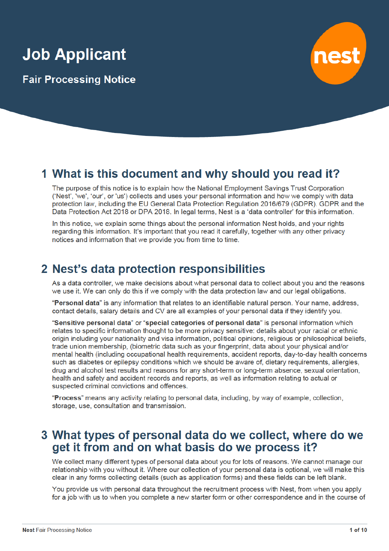# **Job Applicant**

**Fair Processing Notice** 



# 1 What is this document and why should you read it?

The purpose of this notice is to explain how the National Employment Savings Trust Corporation ('Nest', 'we', 'our', or 'us') collects and uses your personal information and how we comply with data protection law, including the EU General Data Protection Regulation 2016/679 (GDPR). GDPR and the Data Protection Act 2018 or DPA 2018. In legal terms, Nest is a 'data controller' for this information.

In this notice, we explain some things about the personal information Nest holds, and your rights regarding this information. It's important that you read it carefully, together with any other privacy notices and information that we provide you from time to time.

# 2 Nest's data protection responsibilities

As a data controller, we make decisions about what personal data to collect about you and the reasons we use it. We can only do this if we comply with the data protection law and our legal obligations.

"Personal data" is any information that relates to an identifiable natural person. Your name, address, contact details, salary details and CV are all examples of your personal data if they identify you.

"Sensitive personal data" or "special categories of personal data" is personal information which relates to specific information thought to be more privacy sensitive: details about your racial or ethnic origin including your nationality and visa information, political opinions, religious or philosophical beliefs, trade union membership, (biometric data such as your fingerprint, data about your physical and/or mental health (including occupational health requirements, accident reports, day-to-day health concerns such as diabetes or epilepsy conditions which we should be aware of, dietary requirements, allergies, drug and alcohol test results and reasons for any short-term or long-term absence, sexual orientation, health and safety and accident records and reports, as well as information relating to actual or suspected criminal convictions and offences.

"Process" means any activity relating to personal data, including, by way of example, collection, storage, use, consultation and transmission.

### 3 What types of personal data do we collect, where do we get it from and on what basis do we process it?

We collect many different types of personal data about you for lots of reasons. We cannot manage our relationship with you without it. Where our collection of your personal data is optional, we will make this clear in any forms collecting details (such as application forms) and these fields can be left blank.

You provide us with personal data throughout the recruitment process with Nest, from when you apply for a job with us to when you complete a new starter form or other correspondence and in the course of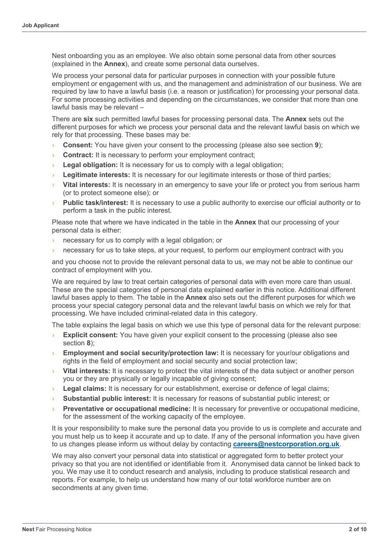Nest onboarding you as an employee. We also obtain some personal data from other sources (explained in the **Annex**), and create some personal data ourselves.

We process your personal data for particular purposes in connection with your possible future employment or engagement with us, and the management and administration of our business. We are required by law to have a lawful basis (i.e. a reason or justification) for processing your personal data. For some processing activities and depending on the circumstances, we consider that more than one lawful basis may be relevant –

There are **six** such permitted lawful bases for processing personal data. The **Annex** sets out the different purposes for which we process your personal data and the relevant lawful basis on which we rely for that processing. These bases may be:

- **Consent:** You have given your consent to the processing (please also see section **9**):
- **Contract:** It is necessary to perform your employment contract;
- **Legal obligation:** It is necessary for us to comply with a legal obligation;
- Legitimate interests: It is necessary for our legitimate interests or those of third parties;
- **Vital interests:** It is necessary in an emergency to save your life or protect you from serious harm (or to protect someone else); or
- Public task/interest: It is necessary to use a public authority to exercise our official authority or to perform a task in the public interest.

Please note that where we have indicated in the table in the **Annex** that our processing of your personal data is either:

- › necessary for us to comply with a legal obligation; or
- necessary for us to take steps, at your request, to perform our employment contract with you

and you choose not to provide the relevant personal data to us, we may not be able to continue our contract of employment with you.

We are required by law to treat certain categories of personal data with even more care than usual. These are the special categories of personal data explained earlier in this notice. Additional different lawful bases apply to them. The table in the **Annex** also sets out the different purposes for which we process your special category personal data and the relevant lawful basis on which we rely for that processing. We have included criminal-related data in this category.

The table explains the legal basis on which we use this type of personal data for the relevant purpose:

- **Explicit consent:** You have given your explicit consent to the processing (please also see section **8**);
- **Employment and social security/protection law:** It is necessary for your/our obligations and rights in the field of employment and social security and social protection law;
- **Vital interests:** It is necessary to protect the vital interests of the data subject or another person you or they are physically or legally incapable of giving consent;
- › **Legal claims:** It is necessary for our establishment, exercise or defence of legal claims;
- **Substantial public interest:** It is necessary for reasons of substantial public interest; or
- › **Preventative or occupational medicine:** It is necessary for preventive or occupational medicine, for the assessment of the working capacity of the employee.

It is your responsibility to make sure the personal data you provide to us is complete and accurate and you must help us to keep it accurate and up to date. If any of the personal information you have given to us changes please inform us without delay by contacting **careers@nestcorporation.org.uk**.

We may also convert your personal data into statistical or aggregated form to better protect your privacy so that you are not identified or identifiable from it. Anonymised data cannot be linked back to you. We may use it to conduct research and analysis, including to produce statistical research and reports. For example, to help us understand how many of our total workforce number are on secondments at any given time.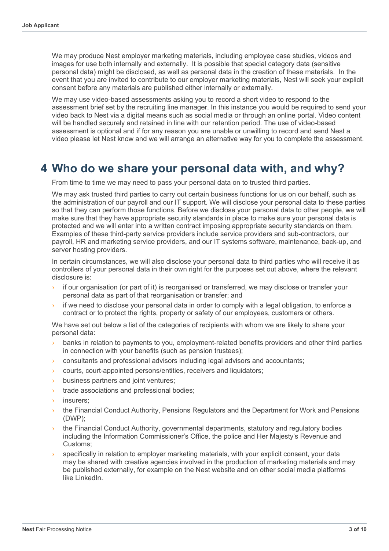We may produce Nest employer marketing materials, including employee case studies, videos and images for use both internally and externally. It is possible that special category data (sensitive personal data) might be disclosed, as well as personal data in the creation of these materials. In the event that you are invited to contribute to our employer marketing materials, Nest will seek your explicit consent before any materials are published either internally or externally.

We may use video-based assessments asking you to record a short video to respond to the assessment brief set by the recruiting line manager. In this instance you would be required to send your video back to Nest via a digital means such as social media or through an online portal. Video content will be handled securely and retained in line with our retention period. The use of video-based assessment is optional and if for any reason you are unable or unwilling to record and send Nest a video please let Nest know and we will arrange an alternative way for you to complete the assessment.

# **4 Who do we share your personal data with, and why?**

From time to time we may need to pass your personal data on to trusted third parties.

We may ask trusted third parties to carry out certain business functions for us on our behalf, such as the administration of our payroll and our IT support. We will disclose your personal data to these parties so that they can perform those functions. Before we disclose your personal data to other people, we will make sure that they have appropriate security standards in place to make sure your personal data is protected and we will enter into a written contract imposing appropriate security standards on them. Examples of these third-party service providers include service providers and sub-contractors, our payroll, HR and marketing service providers, and our IT systems software, maintenance, back-up, and server hosting providers.

In certain circumstances, we will also disclose your personal data to third parties who will receive it as controllers of your personal data in their own right for the purposes set out above, where the relevant disclosure is:

- if our organisation (or part of it) is reorganised or transferred, we may disclose or transfer your personal data as part of that reorganisation or transfer; and
- $\overline{\phantom{a}}$  if we need to disclose your personal data in order to comply with a legal obligation, to enforce a contract or to protect the rights, property or safety of our employees, customers or others.

We have set out below a list of the categories of recipients with whom we are likely to share your personal data:

- banks in relation to payments to you, employment-related benefits providers and other third parties in connection with your benefits (such as pension trustees);
- › consultants and professional advisors including legal advisors and accountants;
- › courts, court-appointed persons/entities, receivers and liquidators;
- › business partners and joint ventures;
- **I** trade associations and professional bodies;
- insurers:
- the Financial Conduct Authority, Pensions Regulators and the Department for Work and Pensions (DWP);
- the Financial Conduct Authority, governmental departments, statutory and regulatory bodies including the Information Commissioner's Office, the police and Her Majesty's Revenue and Customs;
- specifically in relation to employer marketing materials, with your explicit consent, your data may be shared with creative agencies involved in the production of marketing materials and may be published externally, for example on the Nest website and on other social media platforms like LinkedIn.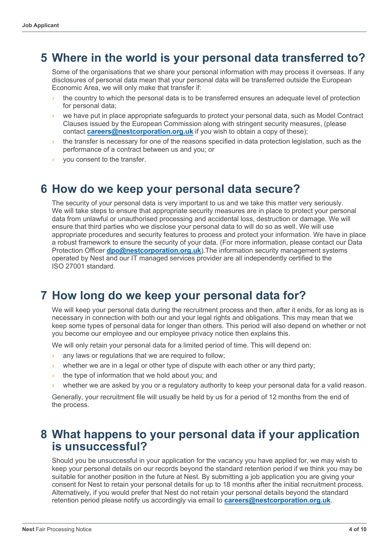# **5 Where in the world is your personal data transferred to?**

Some of the organisations that we share your personal information with may process it overseas. If any disclosures of personal data mean that your personal data will be transferred outside the European Economic Area, we will only make that transfer if:

- the country to which the personal data is to be transferred ensures an adequate level of protection for personal data;
- we have put in place appropriate safeguards to protect your personal data, such as Model Contract Clauses issued by the European Commission along with stringent security measures, (please contact **careers@nestcorporation.org.uk** if you wish to obtain a copy of these);
- the transfer is necessary for one of the reasons specified in data protection legislation, such as the performance of a contract between us and you; or
- › you consent to the transfer.

### **6 How do we keep your personal data secure?**

The security of your personal data is very important to us and we take this matter very seriously. We will take steps to ensure that appropriate security measures are in place to protect your personal data from unlawful or unauthorised processing and accidental loss, destruction or damage. We will ensure that third parties who we disclose your personal data to will do so as well. We will use appropriate procedures and security features to process and protect your information. We have in place a robust framework to ensure the security of your data. (For more information, please contact our Data Protection Officer **dpo@nestcorporation.org.uk**).The information security management systems operated by Nest and our IT managed services provider are all independently certified to the ISO 27001 standard.

# **7 How long do we keep your personal data for?**

We will keep your personal data during the recruitment process and then, after it ends, for as long as is necessary in connection with both our and your legal rights and obligations. This may mean that we keep some types of personal data for longer than others. This period will also depend on whether or not you become our employee and our employee privacy notice then explains this.

We will only retain your personal data for a limited period of time. This will depend on:

- any laws or regulations that we are required to follow;
- $\rightarrow$  whether we are in a legal or other type of dispute with each other or any third party;
- the type of information that we hold about you; and
- whether we are asked by you or a regulatory authority to keep your personal data for a valid reason.

Generally, your recruitment file will usually be held by us for a period of 12 months from the end of the process.

### **8 What happens to your personal data if your application is unsuccessful?**

Should you be unsuccessful in your application for the vacancy you have applied for, we may wish to keep your personal details on our records beyond the standard retention period if we think you may be suitable for another position in the future at Nest. By submitting a job application you are giving your consent for Nest to retain your personal details for up to 18 months after the initial recruitment process. Alternatively, if you would prefer that Nest do not retain your personal details beyond the standard retention period please notify us accordingly via email to **careers@nestcorporation.org.uk**.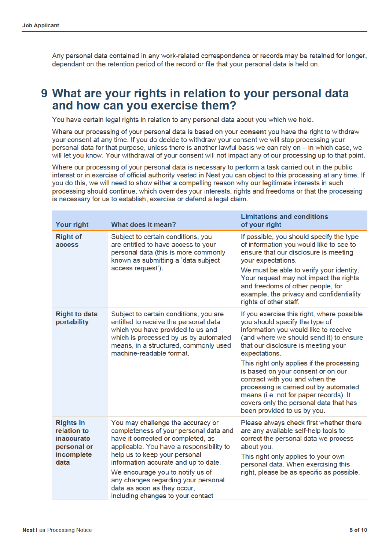Any personal data contained in any work-related correspondence or records may be retained for longer. dependant on the retention period of the record or file that your personal data is held on.

### 9 What are your rights in relation to your personal data and how can you exercise them?

You have certain legal rights in relation to any personal data about you which we hold.

Where our processing of your personal data is based on your consent you have the right to withdraw your consent at any time. If you do decide to withdraw your consent we will stop processing your personal data for that purpose, unless there is another lawful basis we can rely on - in which case, we will let you know. Your withdrawal of your consent will not impact any of our processing up to that point.

Where our processing of your personal data is necessary to perform a task carried out in the public interest or in exercise of official authority vested in Nest you can object to this processing at any time. If you do this, we will need to show either a compelling reason why our legitimate interests in such processing should continue, which overrides your interests, rights and freedoms or that the processing is necessary for us to establish, exercise or defend a legal claim.

| <b>Your right</b>                                                                         | What does it mean?                                                                                                                                                                                                                                                                                                                                                                    | <b>Limitations and conditions</b><br>of your right                                                                                                                                                                                                                                                                                                                                                                                                                                                         |
|-------------------------------------------------------------------------------------------|---------------------------------------------------------------------------------------------------------------------------------------------------------------------------------------------------------------------------------------------------------------------------------------------------------------------------------------------------------------------------------------|------------------------------------------------------------------------------------------------------------------------------------------------------------------------------------------------------------------------------------------------------------------------------------------------------------------------------------------------------------------------------------------------------------------------------------------------------------------------------------------------------------|
| <b>Right of</b><br>access                                                                 | Subject to certain conditions, you<br>are entitled to have access to your<br>personal data (this is more commonly<br>known as submitting a 'data subject<br>access request').                                                                                                                                                                                                         | If possible, you should specify the type<br>of information you would like to see to<br>ensure that our disclosure is meeting<br>your expectations.<br>We must be able to verify your identity.<br>Your request may not impact the rights<br>and freedoms of other people, for<br>example, the privacy and confidentiality<br>rights of other staff.                                                                                                                                                        |
| <b>Right to data</b><br>portability                                                       | Subject to certain conditions, you are<br>entitled to receive the personal data<br>which you have provided to us and<br>which is processed by us by automated<br>means, in a structured, commonly used<br>machine-readable format.                                                                                                                                                    | If you exercise this right, where possible<br>you should specify the type of<br>information you would like to receive<br>(and where we should send it) to ensure<br>that our disclosure is meeting your<br>expectations.<br>This right only applies if the processing<br>is based on your consent or on our<br>contract with you and when the<br>processing is carried out by automated<br>means (i.e. not for paper records). It<br>covers only the personal data that has<br>been provided to us by you. |
| <b>Rights in</b><br>relation to<br><i>inaccurate</i><br>personal or<br>incomplete<br>data | You may challenge the accuracy or<br>completeness of your personal data and<br>have it corrected or completed, as<br>applicable. You have a responsibility to<br>help us to keep your personal<br>information accurate and up to date.<br>We encourage you to notify us of<br>any changes regarding your personal<br>data as soon as they occur,<br>including changes to your contact | Please always check first whether there<br>are any available self-help tools to<br>correct the personal data we process<br>about you.<br>This right only applies to your own<br>personal data. When exercising this<br>right, please be as specific as possible.                                                                                                                                                                                                                                           |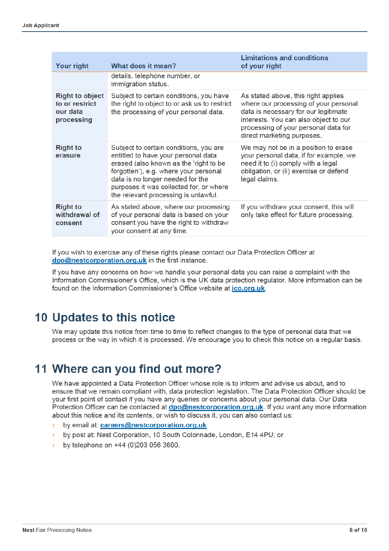| <b>Your right</b>                                                  | What does it mean?                                                                                                                                                                                                                                                                      | <b>Limitations and conditions</b><br>of your right                                                                                                                                                                                  |
|--------------------------------------------------------------------|-----------------------------------------------------------------------------------------------------------------------------------------------------------------------------------------------------------------------------------------------------------------------------------------|-------------------------------------------------------------------------------------------------------------------------------------------------------------------------------------------------------------------------------------|
|                                                                    | details, telephone number, or<br>immigration status.                                                                                                                                                                                                                                    |                                                                                                                                                                                                                                     |
| <b>Right to object</b><br>to or restrict<br>our data<br>processing | Subject to certain conditions, you have<br>the right to object to or ask us to restrict<br>the processing of your personal data.                                                                                                                                                        | As stated above, this right applies<br>where our processing of your personal<br>data is necessary for our legitimate<br>interests. You can also object to our<br>processing of your personal data for<br>direct marketing purposes. |
| <b>Right to</b><br>erasure                                         | Subject to certain conditions, you are<br>entitled to have your personal data<br>erased (also known as the 'right to be<br>forgotten'), e.g. where your personal<br>data is no longer needed for the<br>purposes it was collected for, or where<br>the relevant processing is unlawful. | We may not be in a position to erase<br>your personal data, if for example, we<br>need it to (i) comply with a legal<br>obligation, or (ii) exercise or defend<br>legal claims.                                                     |
| <b>Right to</b><br>withdrawal of<br>consent                        | As stated above, where our processing<br>of your personal data is based on your<br>consent you have the right to withdraw<br>your consent at any time.                                                                                                                                  | If you withdraw your consent, this will<br>only take effect for future processing.                                                                                                                                                  |

If you wish to exercise any of these rights please contact our Data Protection Officer at dpo@nestcorporation.org.uk in the first instance.

If you have any concerns on how we handle your personal data you can raise a complaint with the Information Commissioner's Office, which is the UK data protection regulator. More information can be found on the Information Commissioner's Office website at ico.org.uk.

# **10 Updates to this notice**

We may update this notice from time to time to reflect changes to the type of personal data that we process or the way in which it is processed. We encourage you to check this notice on a regular basis.

# 11 Where can you find out more?

We have appointed a Data Protection Officer whose role is to inform and advise us about, and to ensure that we remain compliant with, data protection legislation. The Data Protection Officer should be your first point of contact if you have any queries or concerns about your personal data. Our Data Protection Officer can be contacted at dpo@nestcorporation.org.uk. If you want any more information about this notice and its contents, or wish to discuss it, you can also contact us:

- by email at: careers@nestcorporation.org.uk
- by post at: Nest Corporation, 10 South Colonnade, London, E14 4PU; or
- by telephone on +44 (0)203 056 3600.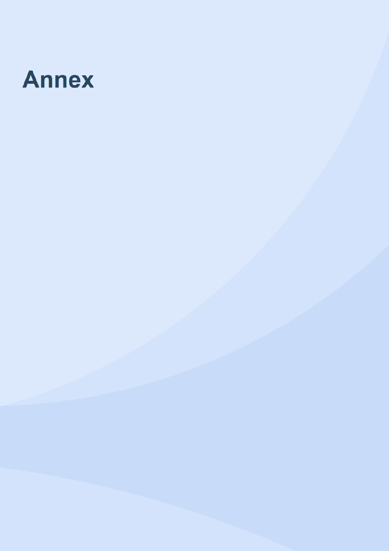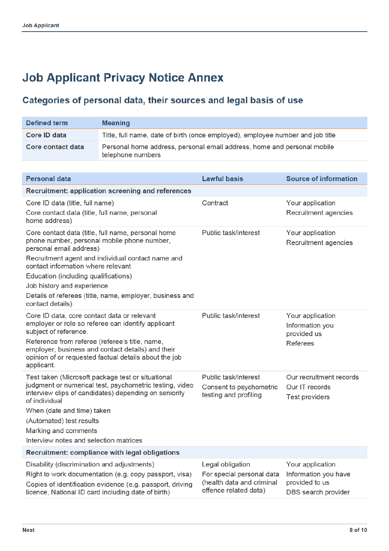# **Job Applicant Privacy Notice Annex**

#### Categories of personal data, their sources and legal basis of use

| <b>Defined term</b>                                                                                                                                                                                                                                                                                                                                                           | <b>Meaning</b>                                                                                                                                                            |                                                                                                     |                                                                                   |  |
|-------------------------------------------------------------------------------------------------------------------------------------------------------------------------------------------------------------------------------------------------------------------------------------------------------------------------------------------------------------------------------|---------------------------------------------------------------------------------------------------------------------------------------------------------------------------|-----------------------------------------------------------------------------------------------------|-----------------------------------------------------------------------------------|--|
| <b>Core ID data</b>                                                                                                                                                                                                                                                                                                                                                           | Title, full name, date of birth (once employed), employee number and job title                                                                                            |                                                                                                     |                                                                                   |  |
| Core contact data                                                                                                                                                                                                                                                                                                                                                             | Personal home address, personal email address, home and personal mobile<br>telephone numbers                                                                              |                                                                                                     |                                                                                   |  |
|                                                                                                                                                                                                                                                                                                                                                                               |                                                                                                                                                                           |                                                                                                     |                                                                                   |  |
| <b>Personal data</b>                                                                                                                                                                                                                                                                                                                                                          |                                                                                                                                                                           | <b>Lawful basis</b>                                                                                 | <b>Source of information</b>                                                      |  |
|                                                                                                                                                                                                                                                                                                                                                                               | <b>Recruitment: application screening and references</b>                                                                                                                  |                                                                                                     |                                                                                   |  |
| Core ID data (title, full name)<br>Core contact data (title, full name, personal<br>home address)                                                                                                                                                                                                                                                                             |                                                                                                                                                                           | Contract                                                                                            | Your application<br><b>Recruitment agencies</b>                                   |  |
| Core contact data (title, full name, personal home<br>phone number, personal mobile phone number,<br>personal email address)<br>Recruitment agent and individual contact name and<br>contact information where relevant<br>Education (including qualifications)<br>Job history and experience<br>Details of referees (title, name, employer, business and<br>contact details) |                                                                                                                                                                           | Public task/interest                                                                                | Your application<br>Recruitment agencies                                          |  |
| Core ID data, core contact data or relevant<br>employer or role so referee can identify applicant<br>subject of reference.<br>Reference from referee (referee's title, name,<br>employer, business and contact details) and their<br>opinion of or requested factual details about the job<br>applicant.                                                                      |                                                                                                                                                                           | <b>Public task/interest</b>                                                                         | Your application<br>Information you<br>provided us<br><b>Referees</b>             |  |
| Test taken (Microsoft package test or situational<br>judgment or numerical test, psychometric testing, video<br>interview clips of candidates) depending on seniority<br>of individual<br>When (date and time) taken<br>(Automated) test results<br>Marking and comments<br>Interview notes and selection matrices                                                            |                                                                                                                                                                           | Public task/interest<br>Consent to psychometric<br>testing and profiling                            | Our recruitment records<br>Our IT records<br><b>Test providers</b>                |  |
| Recruitment: compliance with legal obligations                                                                                                                                                                                                                                                                                                                                |                                                                                                                                                                           |                                                                                                     |                                                                                   |  |
| Disability (discrimination and adjustments)                                                                                                                                                                                                                                                                                                                                   | Right to work documentation (e.g. copy passport, visa)<br>Copies of identification evidence (e.g. passport, driving<br>licence, National ID card including date of birth) | Legal obligation<br>For special personal data<br>(health data and criminal<br>offence related data) | Your application<br>Information you have<br>provided to us<br>DBS search provider |  |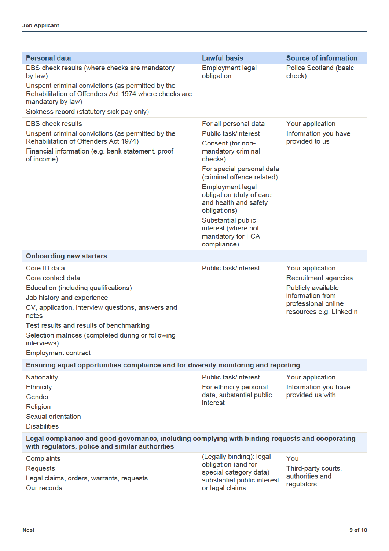I

| <b>Lawful basis</b>                                                                                                                                | <b>Source of information</b>                                                                                                         |  |  |  |
|----------------------------------------------------------------------------------------------------------------------------------------------------|--------------------------------------------------------------------------------------------------------------------------------------|--|--|--|
| obligation                                                                                                                                         | <b>Police Scotland (basic</b><br>check)                                                                                              |  |  |  |
|                                                                                                                                                    |                                                                                                                                      |  |  |  |
|                                                                                                                                                    |                                                                                                                                      |  |  |  |
| For all personal data                                                                                                                              | Your application                                                                                                                     |  |  |  |
| <b>Public task/interest</b>                                                                                                                        | Information you have                                                                                                                 |  |  |  |
| Consent (for non-<br>mandatory criminal<br>checks)                                                                                                 | provided to us                                                                                                                       |  |  |  |
| For special personal data<br>(criminal offence related)                                                                                            |                                                                                                                                      |  |  |  |
| <b>Employment legal</b><br>obligation (duty of care<br>and health and safety<br>obligations)                                                       |                                                                                                                                      |  |  |  |
| Substantial public<br>interest (where not<br>mandatory for FCA<br>compliance)                                                                      |                                                                                                                                      |  |  |  |
|                                                                                                                                                    |                                                                                                                                      |  |  |  |
| Public task/interest                                                                                                                               | Your application<br>Recruitment agencies<br>Publicly available<br>information from<br>professional online<br>resources e.g. LinkedIn |  |  |  |
|                                                                                                                                                    |                                                                                                                                      |  |  |  |
| Public task/interest<br>For ethnicity personal<br>data, substantial public<br>interest                                                             | Your application<br>Information you have<br>provided us with                                                                         |  |  |  |
| Legal compliance and good governance, including complying with binding requests and cooperating<br>with regulators, police and similar authorities |                                                                                                                                      |  |  |  |
| (Legally binding): legal<br>obligation (and for<br>special category data)<br>substantial public interest<br>or legal claims                        | You<br>Third-party courts,<br>authorities and<br>regulators                                                                          |  |  |  |
|                                                                                                                                                    | <b>Employment legal</b><br>Ensuring equal opportunities compliance and for diversity monitoring and reporting                        |  |  |  |